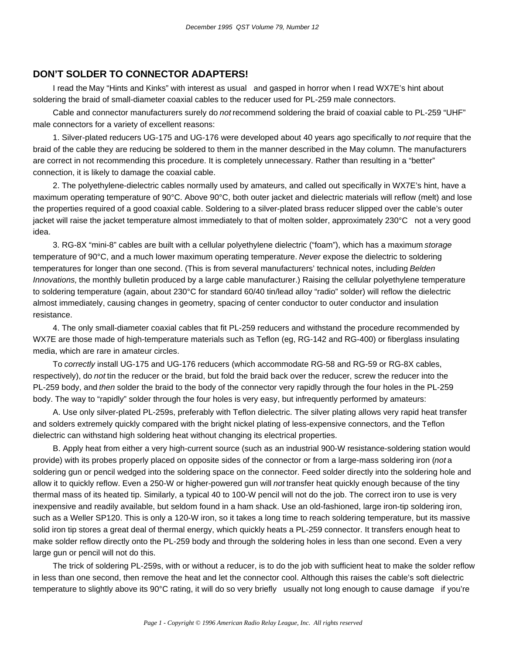## **DON'T SOLDER TO CONNECTOR ADAPTERS!**

I read the May "Hints and Kinks" with interest as usual—and gasped in horror when I read WX7E's hint about soldering the braid of small-diameter coaxial cables to the reducer used for PL-259 male connectors.

Cable and connector manufacturers surely do *not* recommend soldering the braid of coaxial cable to PL-259 "UHF" male connectors for a variety of excellent reasons:

1. Silver-plated reducers UG-175 and UG-176 were developed about 40 years ago specifically to *not* require that the braid of the cable they are reducing be soldered to them in the manner described in the May column. The manufacturers are correct in not recommending this procedure. It is completely unnecessary. Rather than resulting in a "better" connection, it is likely to damage the coaxial cable.

2. The polyethylene-dielectric cables normally used by amateurs, and called out specifically in WX7E's hint, have a maximum operating temperature of 90°C. Above 90°C, both outer jacket and dielectric materials will reflow (melt) and lose the properties required of a good coaxial cable. Soldering to a silver-plated brass reducer slipped over the cable's outer jacket will raise the jacket temperature almost immediately to that of molten solder, approximately 230°C—not a very good idea.

3. RG-8X "mini-8" cables are built with a cellular polyethylene dielectric ("foam"), which has a maximum *storage* temperature of 90°C, and a much lower maximum operating temperature. *Never* expose the dielectric to soldering temperatures for longer than one second. (This is from several manufacturers' technical notes, including *Belden Innovations,* the monthly bulletin produced by a large cable manufacturer.) Raising the cellular polyethylene temperature to soldering temperature (again, about 230°C for standard 60/40 tin/lead alloy "radio" solder) will reflow the dielectric almost immediately, causing changes in geometry, spacing of center conductor to outer conductor and insulation resistance.

4. The only small-diameter coaxial cables that fit PL-259 reducers and withstand the procedure recommended by WX7E are those made of high-temperature materials such as Teflon (eg, RG-142 and RG-400) or fiberglass insulating media, which are rare in amateur circles.

To *correctly* install UG-175 and UG-176 reducers (which accommodate RG-58 and RG-59 or RG-8X cables, respectively), do *not* tin the reducer or the braid, but fold the braid back over the reducer, screw the reducer into the PL-259 body, and *then* solder the braid to the body of the connector very rapidly through the four holes in the PL-259 body. The way to "rapidly" solder through the four holes is very easy, but infrequently performed by amateurs:

A. Use only silver-plated PL-259s, preferably with Teflon dielectric. The silver plating allows very rapid heat transfer and solders extremely quickly compared with the bright nickel plating of less-expensive connectors, and the Teflon dielectric can withstand high soldering heat without changing its electrical properties.

B. Apply heat from either a very high-current source (such as an industrial 900-W resistance-soldering station would provide) with its probes properly placed on opposite sides of the connector or from a large-mass soldering iron (*not* a soldering gun or pencil wedged into the soldering space on the connector. Feed solder directly into the soldering hole and allow it to quickly reflow. Even a 250-W or higher-powered gun will *not* transfer heat quickly enough because of the tiny thermal mass of its heated tip. Similarly, a typical 40 to 100-W pencil will not do the job. The correct iron to use is very inexpensive and readily available, but seldom found in a ham shack. Use an old-fashioned, large iron-tip soldering iron, such as a Weller SP120. This is only a 120-W iron, so it takes a long time to reach soldering temperature, but its massive solid iron tip stores a great deal of thermal energy, which quickly heats a PL-259 connector. It transfers enough heat to make solder reflow directly onto the PL-259 body and through the soldering holes in less than one second. Even a very large gun or pencil will not do this.

The trick of soldering PL-259s, with or without a reducer, is to do the job with sufficient heat to make the solder reflow in less than one second, then remove the heat and let the connector cool. Although this raises the cable's soft dielectric temperature to slightly above its  $90^{\circ}$ C rating, it will do so very briefly—usually not long enough to cause damage—if you're